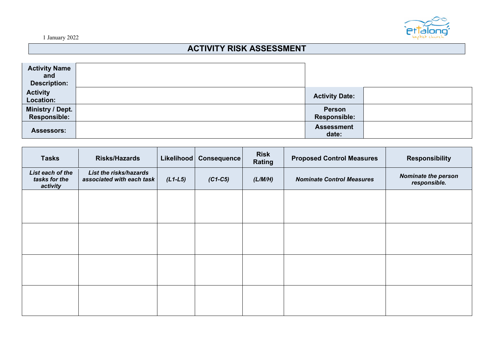

# **ACTIVITY RISK ASSESSMENT**

| <b>Activity Name</b>                    |                                      |  |
|-----------------------------------------|--------------------------------------|--|
| and                                     |                                      |  |
| <b>Description:</b>                     |                                      |  |
| <b>Activity</b><br>Location:            | <b>Activity Date:</b>                |  |
| Ministry / Dept.<br><b>Responsible:</b> | <b>Person</b><br><b>Responsible:</b> |  |
| <b>Assessors:</b>                       | <b>Assessment</b><br>date:           |  |

| <b>Tasks</b>                                  | <b>Risks/Hazards</b>                                |           | Likelihood   Consequence | <b>Risk</b><br>Rating | <b>Proposed Control Measures</b> | <b>Responsibility</b>                      |
|-----------------------------------------------|-----------------------------------------------------|-----------|--------------------------|-----------------------|----------------------------------|--------------------------------------------|
| List each of the<br>tasks for the<br>activity | List the risks/hazards<br>associated with each task | $(L1-L5)$ | $(C1-C5)$                | (L/M/H)               | <b>Nominate Control Measures</b> | <b>Nominate the person</b><br>responsible. |
|                                               |                                                     |           |                          |                       |                                  |                                            |
|                                               |                                                     |           |                          |                       |                                  |                                            |
|                                               |                                                     |           |                          |                       |                                  |                                            |
|                                               |                                                     |           |                          |                       |                                  |                                            |
|                                               |                                                     |           |                          |                       |                                  |                                            |
|                                               |                                                     |           |                          |                       |                                  |                                            |
|                                               |                                                     |           |                          |                       |                                  |                                            |
|                                               |                                                     |           |                          |                       |                                  |                                            |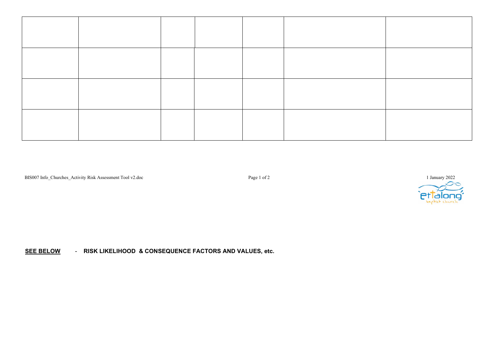BIS007 Info\_Churches\_Activity Risk Assessment Tool v2.doc Page 1 of 2 1 January 2022



**SEE BELOW** - **RISK LIKELIHOOD & CONSEQUENCE FACTORS AND VALUES, etc.**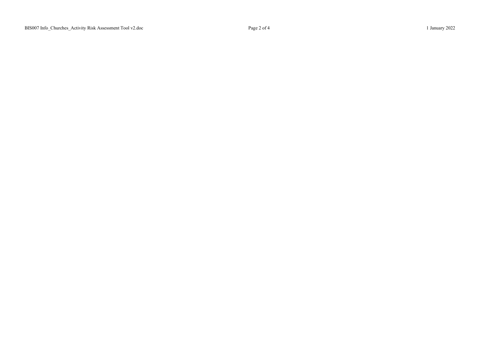BIS007 Info\_Churches\_Activity Risk Assessment Tool v2.doc Page 2 of 4 1 January 2022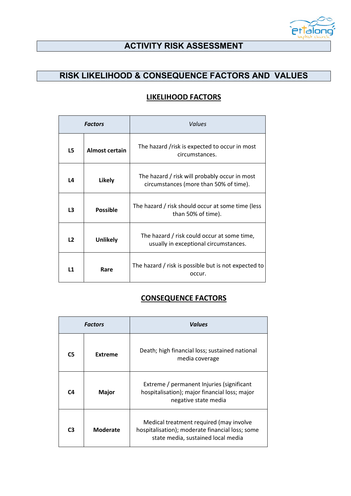

# **ACTIVITY RISK ASSESSMENT**

### **RISK LIKELIHOOD & CONSEQUENCE FACTORS AND VALUES**

| <b>Factors</b> |                 | Values                                                                                  |  |  |
|----------------|-----------------|-----------------------------------------------------------------------------------------|--|--|
| L5             | Almost certain  | The hazard /risk is expected to occur in most<br>circumstances.                         |  |  |
| L4             | <b>Likely</b>   | The hazard / risk will probably occur in most<br>circumstances (more than 50% of time). |  |  |
| L3             | <b>Possible</b> | The hazard / risk should occur at some time (less<br>than 50% of time).                 |  |  |
| L2             | <b>Unlikely</b> | The hazard / risk could occur at some time,<br>usually in exceptional circumstances.    |  |  |
| <b>11</b>      | Rare            | The hazard / risk is possible but is not expected to<br>occur.                          |  |  |

### **LIKELIHOOD FACTORS**

#### **CONSEQUENCE FACTORS**

| <b>Factors</b> |          | <b>Values</b>                                                                                                                    |  |  |
|----------------|----------|----------------------------------------------------------------------------------------------------------------------------------|--|--|
| C5             | Extreme  | Death; high financial loss; sustained national<br>media coverage                                                                 |  |  |
| C4             | Major    | Extreme / permanent Injuries (significant<br>hospitalisation); major financial loss; major<br>negative state media               |  |  |
| C <sub>3</sub> | Moderate | Medical treatment required (may involve<br>hospitalisation); moderate financial loss; some<br>state media, sustained local media |  |  |